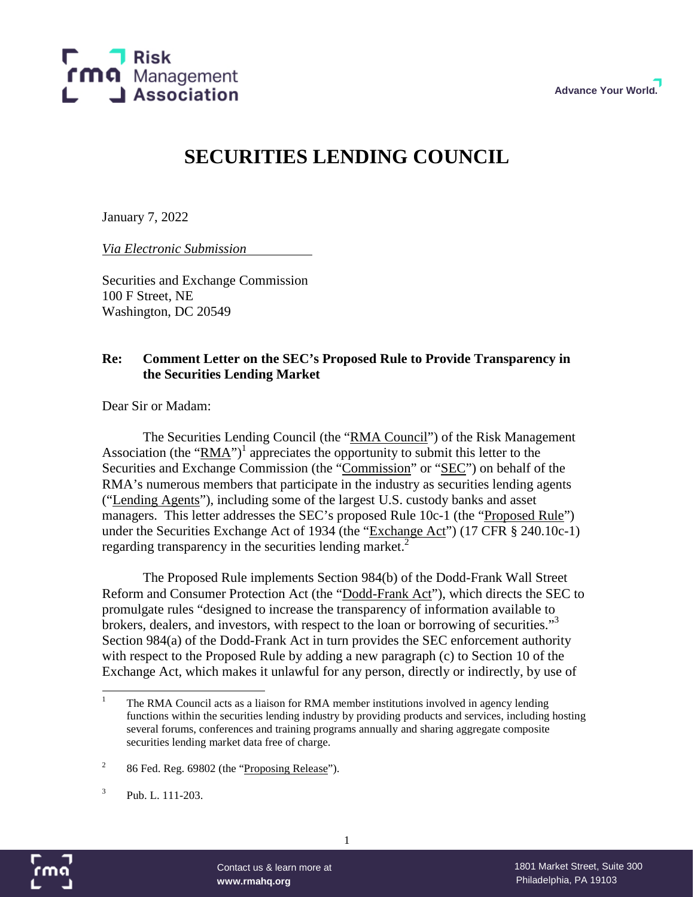

# **SECURITIES LENDING COUNCIL**

January 7, 2022

*Via Electronic Submission*

Securities and Exchange Commission 100 F Street, NE Washington, DC 20549

### **Re: Comment Letter on the SEC's Proposed Rule to Provide Transparency in the Securities Lending Market**

Dear Sir or Madam:

The Securities Lending Council (the "RMA Council") of the Risk Management Association (the " $\overline{RMA}$ ")<sup>1</sup> appreciates the opportunity to submit this letter to the Securities and Exchange Commission (the "Commission" or "SEC") on behalf of the RMA's numerous members that participate in the industry as securities lending agents ("Lending Agents"), including some of the largest U.S. custody banks and asset managers. This letter addresses the SEC's proposed Rule 10c-1 (the "Proposed Rule") under the Securities Exchange Act of 1934 (the "Exchange Act") (17 CFR § 240.10c-1) regarding transparency in the securities lending market.<sup>2</sup>

The Proposed Rule implements Section 984(b) of the Dodd-Frank Wall Street Reform and Consumer Protection Act (the "Dodd-Frank Act"), which directs the SEC to promulgate rules "designed to increase the transparency of information available to brokers, dealers, and investors, with respect to the loan or borrowing of securities."<sup>3</sup> Section 984(a) of the Dodd-Frank Act in turn provides the SEC enforcement authority with respect to the Proposed Rule by adding a new paragraph (c) to Section 10 of the Exchange Act, which makes it unlawful for any person, directly or indirectly, by use of

1



<sup>1</sup> The RMA Council acts as a liaison for RMA member institutions involved in agency lending functions within the securities lending industry by providing products and services, including hosting several forums, conferences and training programs annually and sharing aggregate composite securities lending market data free of charge.

<sup>2</sup> 86 Fed. Reg. 69802 (the "Proposing Release").

<sup>3</sup> Pub. L. 111-203.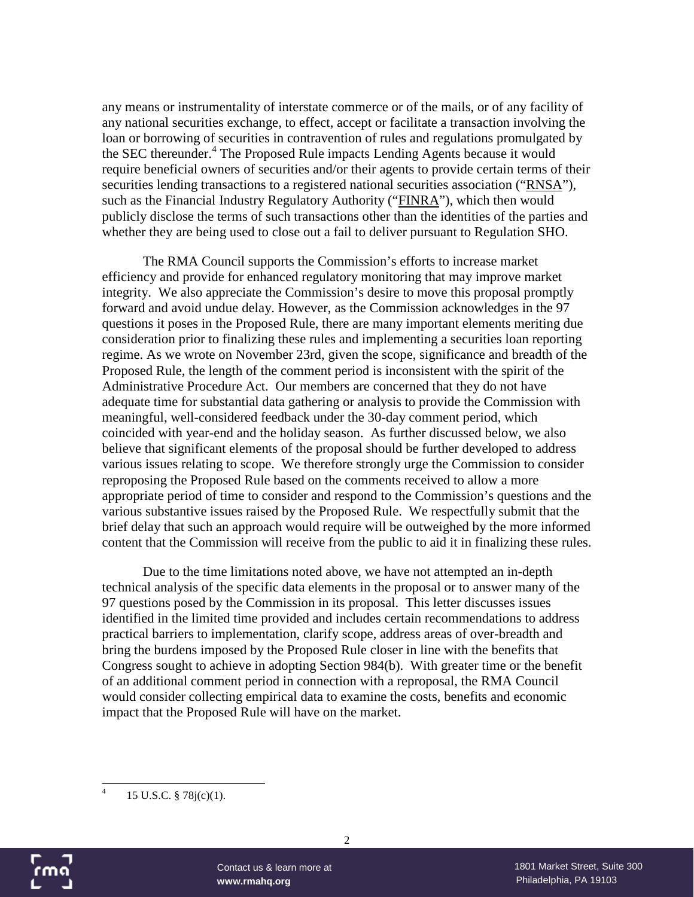any means or instrumentality of interstate commerce or of the mails, or of any facility of any national securities exchange, to effect, accept or facilitate a transaction involving the loan or borrowing of securities in contravention of rules and regulations promulgated by the SEC thereunder.<sup>4</sup> The Proposed Rule impacts Lending Agents because it would require beneficial owners of securities and/or their agents to provide certain terms of their securities lending transactions to a registered national securities association ("RNSA"), such as the Financial Industry Regulatory Authority ("FINRA"), which then would publicly disclose the terms of such transactions other than the identities of the parties and whether they are being used to close out a fail to deliver pursuant to Regulation SHO.

The RMA Council supports the Commission's efforts to increase market efficiency and provide for enhanced regulatory monitoring that may improve market integrity. We also appreciate the Commission's desire to move this proposal promptly forward and avoid undue delay. However, as the Commission acknowledges in the 97 questions it poses in the Proposed Rule, there are many important elements meriting due consideration prior to finalizing these rules and implementing a securities loan reporting regime. As we wrote on November 23rd, given the scope, significance and breadth of the Proposed Rule, the length of the comment period is inconsistent with the spirit of the Administrative Procedure Act. Our members are concerned that they do not have adequate time for substantial data gathering or analysis to provide the Commission with meaningful, well-considered feedback under the 30-day comment period, which coincided with year-end and the holiday season. As further discussed below, we also believe that significant elements of the proposal should be further developed to address various issues relating to scope. We therefore strongly urge the Commission to consider reproposing the Proposed Rule based on the comments received to allow a more appropriate period of time to consider and respond to the Commission's questions and the various substantive issues raised by the Proposed Rule. We respectfully submit that the brief delay that such an approach would require will be outweighed by the more informed content that the Commission will receive from the public to aid it in finalizing these rules.

Due to the time limitations noted above, we have not attempted an in-depth technical analysis of the specific data elements in the proposal or to answer many of the 97 questions posed by the Commission in its proposal. This letter discusses issues identified in the limited time provided and includes certain recommendations to address practical barriers to implementation, clarify scope, address areas of over-breadth and bring the burdens imposed by the Proposed Rule closer in line with the benefits that Congress sought to achieve in adopting Section 984(b). With greater time or the benefit of an additional comment period in connection with a reproposal, the RMA Council would consider collecting empirical data to examine the costs, benefits and economic impact that the Proposed Rule will have on the market.



<sup>4</sup> 15 U.S.C. § 78j(c)(1).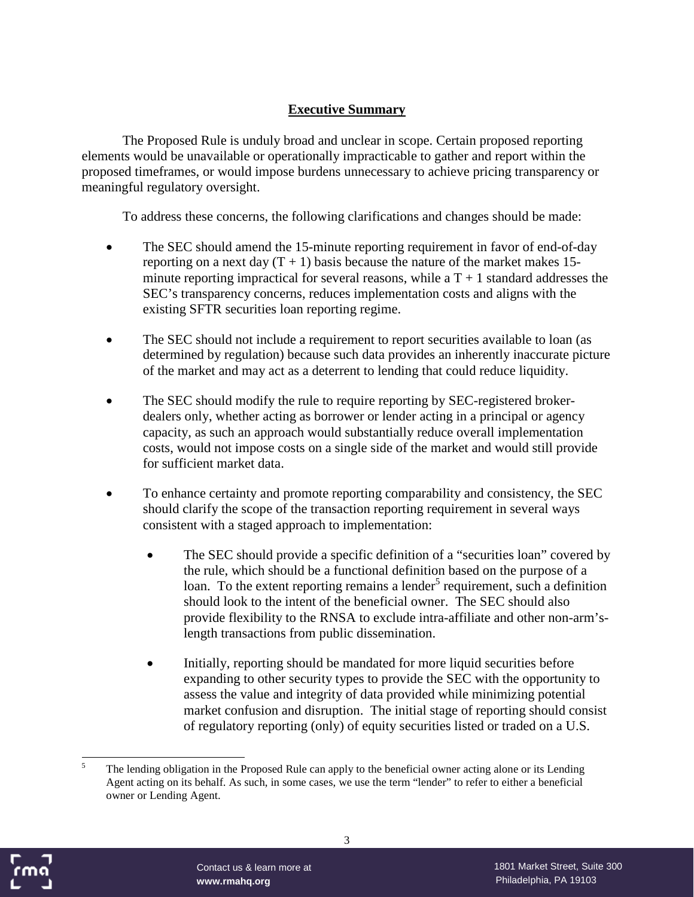## **Executive Summary**

The Proposed Rule is unduly broad and unclear in scope. Certain proposed reporting elements would be unavailable or operationally impracticable to gather and report within the proposed timeframes, or would impose burdens unnecessary to achieve pricing transparency or meaningful regulatory oversight.

To address these concerns, the following clarifications and changes should be made:

- The SEC should amend the 15-minute reporting requirement in favor of end-of-day reporting on a next day  $(T + 1)$  basis because the nature of the market makes 15minute reporting impractical for several reasons, while a  $T + 1$  standard addresses the SEC's transparency concerns, reduces implementation costs and aligns with the existing SFTR securities loan reporting regime.
- The SEC should not include a requirement to report securities available to loan (as determined by regulation) because such data provides an inherently inaccurate picture of the market and may act as a deterrent to lending that could reduce liquidity.
- The SEC should modify the rule to require reporting by SEC-registered brokerdealers only, whether acting as borrower or lender acting in a principal or agency capacity, as such an approach would substantially reduce overall implementation costs, would not impose costs on a single side of the market and would still provide for sufficient market data.
- To enhance certainty and promote reporting comparability and consistency, the SEC should clarify the scope of the transaction reporting requirement in several ways consistent with a staged approach to implementation:
	- The SEC should provide a specific definition of a "securities loan" covered by the rule, which should be a functional definition based on the purpose of a loan. To the extent reporting remains a lender<sup>5</sup> requirement, such a definition should look to the intent of the beneficial owner. The SEC should also provide flexibility to the RNSA to exclude intra-affiliate and other non-arm'slength transactions from public dissemination.
	- Initially, reporting should be mandated for more liquid securities before expanding to other security types to provide the SEC with the opportunity to assess the value and integrity of data provided while minimizing potential market confusion and disruption. The initial stage of reporting should consist of regulatory reporting (only) of equity securities listed or traded on a U.S.



<sup>&</sup>lt;sup>5</sup> The lending obligation in the Proposed Rule can apply to the beneficial owner acting alone or its Lending Agent acting on its behalf. As such, in some cases, we use the term "lender" to refer to either a beneficial owner or Lending Agent.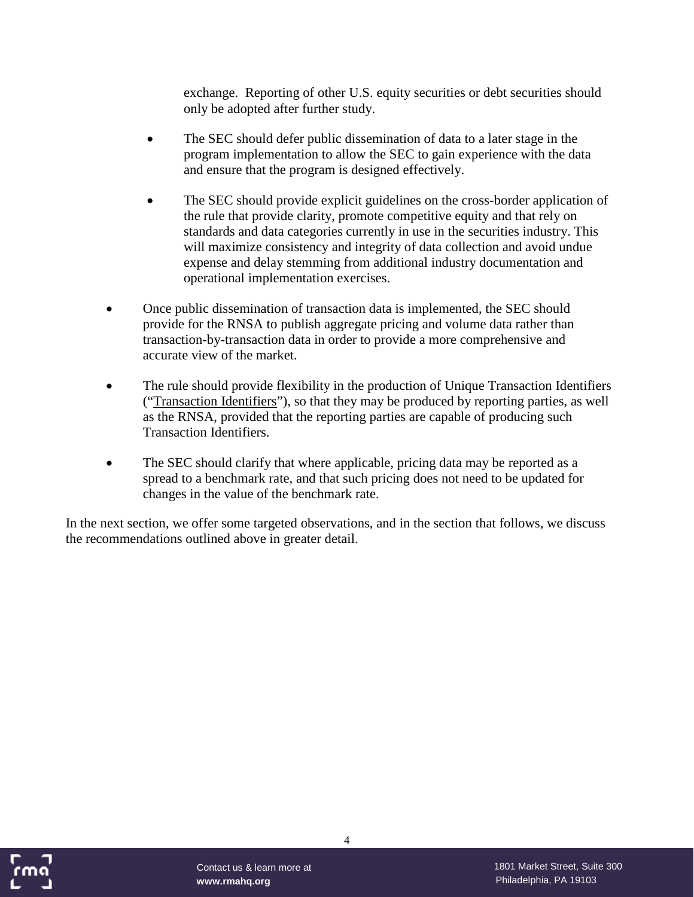exchange. Reporting of other U.S. equity securities or debt securities should only be adopted after further study.

- The SEC should defer public dissemination of data to a later stage in the program implementation to allow the SEC to gain experience with the data and ensure that the program is designed effectively.
- The SEC should provide explicit guidelines on the cross-border application of the rule that provide clarity, promote competitive equity and that rely on standards and data categories currently in use in the securities industry. This will maximize consistency and integrity of data collection and avoid undue expense and delay stemming from additional industry documentation and operational implementation exercises.
- Once public dissemination of transaction data is implemented, the SEC should provide for the RNSA to publish aggregate pricing and volume data rather than transaction-by-transaction data in order to provide a more comprehensive and accurate view of the market.
- The rule should provide flexibility in the production of Unique Transaction Identifiers ("Transaction Identifiers"), so that they may be produced by reporting parties, as well as the RNSA, provided that the reporting parties are capable of producing such Transaction Identifiers.
- The SEC should clarify that where applicable, pricing data may be reported as a spread to a benchmark rate, and that such pricing does not need to be updated for changes in the value of the benchmark rate.

In the next section, we offer some targeted observations, and in the section that follows, we discuss the recommendations outlined above in greater detail.

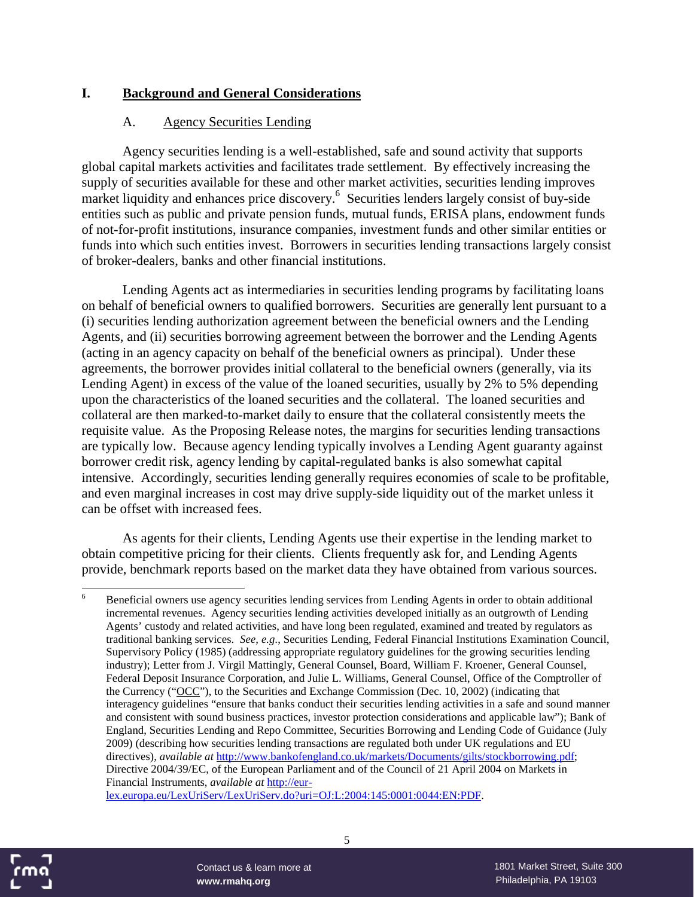#### **I. Background and General Considerations**

#### A. Agency Securities Lending

Agency securities lending is a well-established, safe and sound activity that supports global capital markets activities and facilitates trade settlement. By effectively increasing the supply of securities available for these and other market activities, securities lending improves market liquidity and enhances price discovery.<sup>6</sup> Securities lenders largely consist of buy-side entities such as public and private pension funds, mutual funds, ERISA plans, endowment funds of not-for-profit institutions, insurance companies, investment funds and other similar entities or funds into which such entities invest. Borrowers in securities lending transactions largely consist of broker-dealers, banks and other financial institutions.

Lending Agents act as intermediaries in securities lending programs by facilitating loans on behalf of beneficial owners to qualified borrowers. Securities are generally lent pursuant to a (i) securities lending authorization agreement between the beneficial owners and the Lending Agents, and (ii) securities borrowing agreement between the borrower and the Lending Agents (acting in an agency capacity on behalf of the beneficial owners as principal). Under these agreements, the borrower provides initial collateral to the beneficial owners (generally, via its Lending Agent) in excess of the value of the loaned securities, usually by 2% to 5% depending upon the characteristics of the loaned securities and the collateral. The loaned securities and collateral are then marked-to-market daily to ensure that the collateral consistently meets the requisite value. As the Proposing Release notes, the margins for securities lending transactions are typically low. Because agency lending typically involves a Lending Agent guaranty against borrower credit risk, agency lending by capital-regulated banks is also somewhat capital intensive. Accordingly, securities lending generally requires economies of scale to be profitable, and even marginal increases in cost may drive supply-side liquidity out of the market unless it can be offset with increased fees.

As agents for their clients, Lending Agents use their expertise in the lending market to obtain competitive pricing for their clients. Clients frequently ask for, and Lending Agents provide, benchmark reports based on the market data they have obtained from various sources.

lex.europa.eu/LexUriServ/LexUriServ.do?uri=OJ:L:2004:145:0001:0044:EN:PDF.



<sup>6</sup> Beneficial owners use agency securities lending services from Lending Agents in order to obtain additional incremental revenues. Agency securities lending activities developed initially as an outgrowth of Lending Agents' custody and related activities, and have long been regulated, examined and treated by regulators as traditional banking services. *See, e.g.*, Securities Lending, Federal Financial Institutions Examination Council, Supervisory Policy (1985) (addressing appropriate regulatory guidelines for the growing securities lending industry); Letter from J. Virgil Mattingly, General Counsel, Board, William F. Kroener, General Counsel, Federal Deposit Insurance Corporation, and Julie L. Williams, General Counsel, Office of the Comptroller of the Currency ("OCC"), to the Securities and Exchange Commission (Dec. 10, 2002) (indicating that interagency guidelines "ensure that banks conduct their securities lending activities in a safe and sound manner and consistent with sound business practices, investor protection considerations and applicable law"); Bank of England, Securities Lending and Repo Committee, Securities Borrowing and Lending Code of Guidance (July 2009) (describing how securities lending transactions are regulated both under UK regulations and EU directives), *available at* http://www.bankofengland.co.uk/markets/Documents/gilts/stockborrowing.pdf; Directive 2004/39/EC, of the European Parliament and of the Council of 21 April 2004 on Markets in Financial Instruments, *available at* http://eur-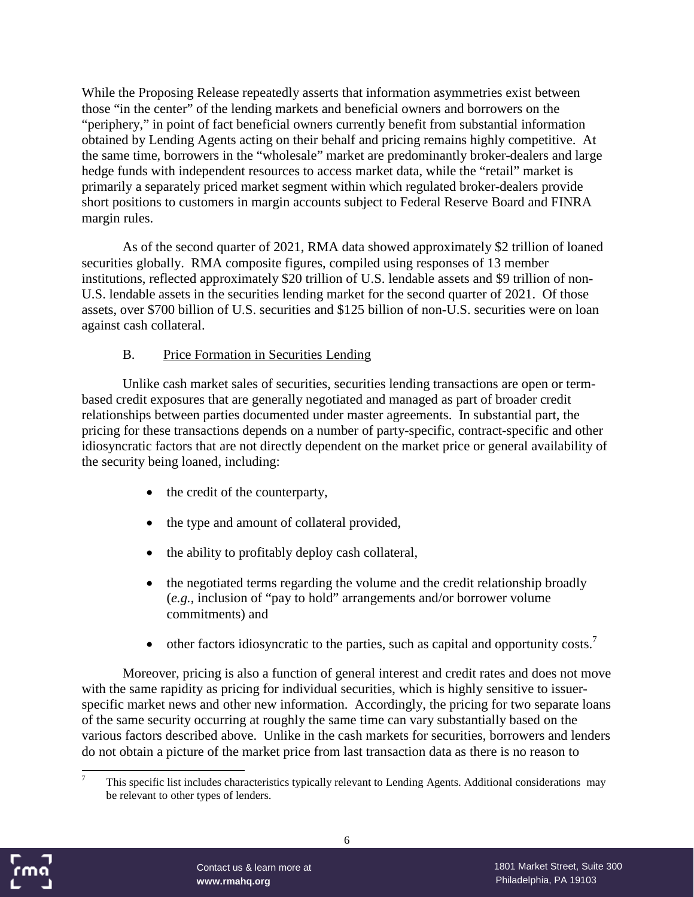While the Proposing Release repeatedly asserts that information asymmetries exist between those "in the center" of the lending markets and beneficial owners and borrowers on the "periphery," in point of fact beneficial owners currently benefit from substantial information obtained by Lending Agents acting on their behalf and pricing remains highly competitive. At the same time, borrowers in the "wholesale" market are predominantly broker-dealers and large hedge funds with independent resources to access market data, while the "retail" market is primarily a separately priced market segment within which regulated broker-dealers provide short positions to customers in margin accounts subject to Federal Reserve Board and FINRA margin rules.

As of the second quarter of 2021, RMA data showed approximately \$2 trillion of loaned securities globally. RMA composite figures, compiled using responses of 13 member institutions, reflected approximately \$20 trillion of U.S. lendable assets and \$9 trillion of non-U.S. lendable assets in the securities lending market for the second quarter of 2021. Of those assets, over \$700 billion of U.S. securities and \$125 billion of non-U.S. securities were on loan against cash collateral.

#### B. Price Formation in Securities Lending

Unlike cash market sales of securities, securities lending transactions are open or termbased credit exposures that are generally negotiated and managed as part of broader credit relationships between parties documented under master agreements. In substantial part, the pricing for these transactions depends on a number of party-specific, contract-specific and other idiosyncratic factors that are not directly dependent on the market price or general availability of the security being loaned, including:

- the credit of the counterparty,
- the type and amount of collateral provided,
- the ability to profitably deploy cash collateral,
- the negotiated terms regarding the volume and the credit relationship broadly (*e.g.*, inclusion of "pay to hold" arrangements and/or borrower volume commitments) and
- $\bullet$  other factors idiosyncratic to the parties, such as capital and opportunity costs.<sup>7</sup>

Moreover, pricing is also a function of general interest and credit rates and does not move with the same rapidity as pricing for individual securities, which is highly sensitive to issuerspecific market news and other new information. Accordingly, the pricing for two separate loans of the same security occurring at roughly the same time can vary substantially based on the various factors described above. Unlike in the cash markets for securities, borrowers and lenders do not obtain a picture of the market price from last transaction data as there is no reason to



<sup>7</sup> This specific list includes characteristics typically relevant to Lending Agents. Additional considerations may be relevant to other types of lenders.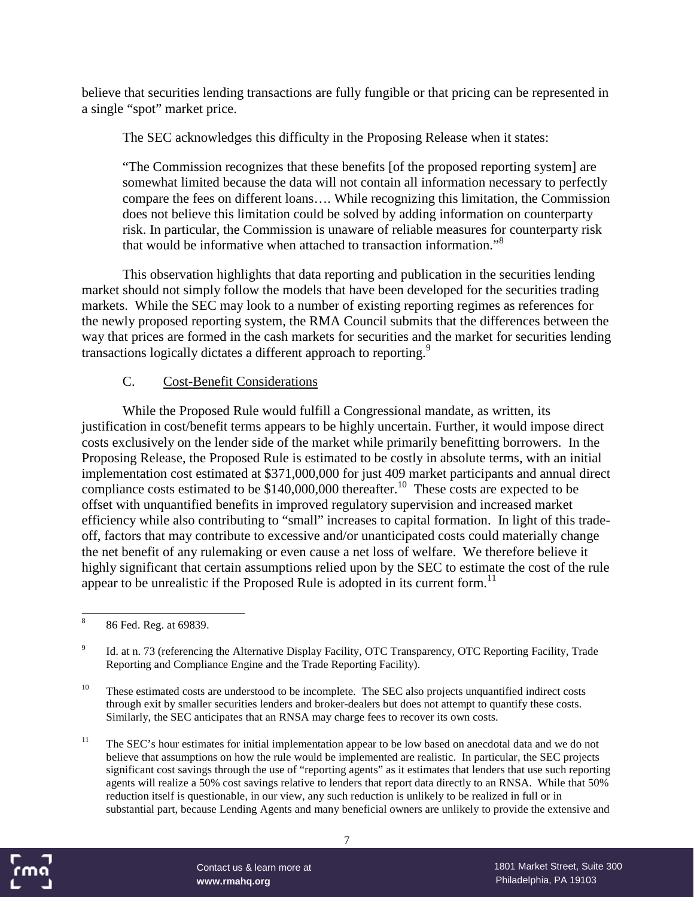believe that securities lending transactions are fully fungible or that pricing can be represented in a single "spot" market price.

The SEC acknowledges this difficulty in the Proposing Release when it states:

"The Commission recognizes that these benefits [of the proposed reporting system] are somewhat limited because the data will not contain all information necessary to perfectly compare the fees on different loans…. While recognizing this limitation, the Commission does not believe this limitation could be solved by adding information on counterparty risk. In particular, the Commission is unaware of reliable measures for counterparty risk that would be informative when attached to transaction information."<sup>8</sup>

This observation highlights that data reporting and publication in the securities lending market should not simply follow the models that have been developed for the securities trading markets. While the SEC may look to a number of existing reporting regimes as references for the newly proposed reporting system, the RMA Council submits that the differences between the way that prices are formed in the cash markets for securities and the market for securities lending transactions logically dictates a different approach to reporting.<sup>9</sup>

#### C. Cost-Benefit Considerations

While the Proposed Rule would fulfill a Congressional mandate, as written, its justification in cost/benefit terms appears to be highly uncertain. Further, it would impose direct costs exclusively on the lender side of the market while primarily benefitting borrowers. In the Proposing Release, the Proposed Rule is estimated to be costly in absolute terms, with an initial implementation cost estimated at \$371,000,000 for just 409 market participants and annual direct compliance costs estimated to be  $$140,000,000$  thereafter.<sup>10</sup> These costs are expected to be offset with unquantified benefits in improved regulatory supervision and increased market efficiency while also contributing to "small" increases to capital formation. In light of this tradeoff, factors that may contribute to excessive and/or unanticipated costs could materially change the net benefit of any rulemaking or even cause a net loss of welfare. We therefore believe it highly significant that certain assumptions relied upon by the SEC to estimate the cost of the rule appear to be unrealistic if the Proposed Rule is adopted in its current form.<sup>11</sup>

<sup>&</sup>lt;sup>11</sup> The SEC's hour estimates for initial implementation appear to be low based on anecdotal data and we do not believe that assumptions on how the rule would be implemented are realistic. In particular, the SEC projects significant cost savings through the use of "reporting agents" as it estimates that lenders that use such reporting agents will realize a 50% cost savings relative to lenders that report data directly to an RNSA. While that 50% reduction itself is questionable, in our view, any such reduction is unlikely to be realized in full or in substantial part, because Lending Agents and many beneficial owners are unlikely to provide the extensive and



<sup>8</sup> 86 Fed. Reg. at 69839.

<sup>9</sup> Id. at n. 73 (referencing the Alternative Display Facility, OTC Transparency, OTC Reporting Facility, Trade Reporting and Compliance Engine and the Trade Reporting Facility).

<sup>&</sup>lt;sup>10</sup> These estimated costs are understood to be incomplete. The SEC also projects unquantified indirect costs through exit by smaller securities lenders and broker-dealers but does not attempt to quantify these costs. Similarly, the SEC anticipates that an RNSA may charge fees to recover its own costs.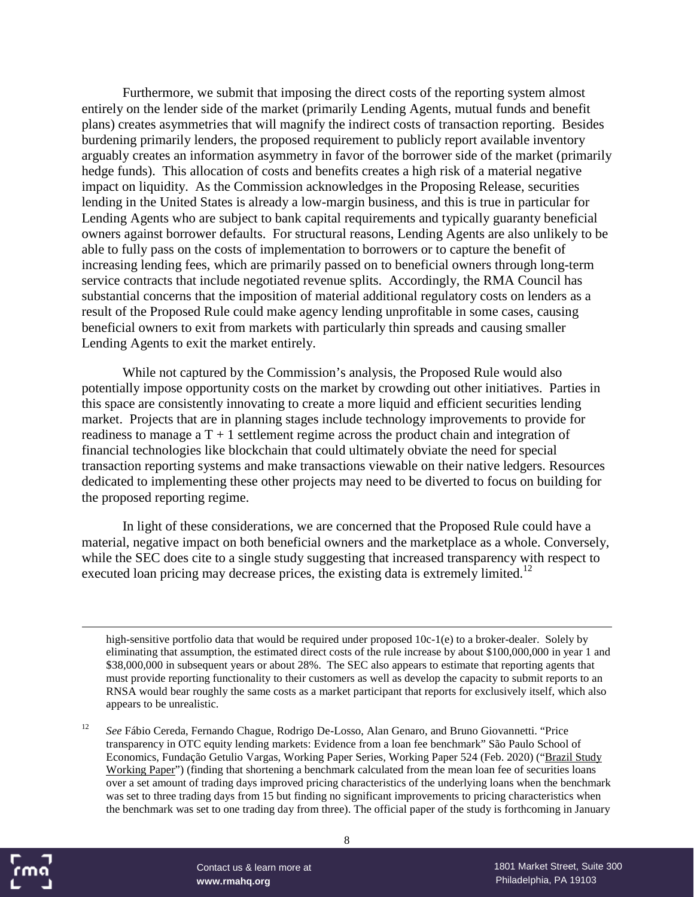Furthermore, we submit that imposing the direct costs of the reporting system almost entirely on the lender side of the market (primarily Lending Agents, mutual funds and benefit plans) creates asymmetries that will magnify the indirect costs of transaction reporting. Besides burdening primarily lenders, the proposed requirement to publicly report available inventory arguably creates an information asymmetry in favor of the borrower side of the market (primarily hedge funds). This allocation of costs and benefits creates a high risk of a material negative impact on liquidity. As the Commission acknowledges in the Proposing Release, securities lending in the United States is already a low-margin business, and this is true in particular for Lending Agents who are subject to bank capital requirements and typically guaranty beneficial owners against borrower defaults. For structural reasons, Lending Agents are also unlikely to be able to fully pass on the costs of implementation to borrowers or to capture the benefit of increasing lending fees, which are primarily passed on to beneficial owners through long-term service contracts that include negotiated revenue splits. Accordingly, the RMA Council has substantial concerns that the imposition of material additional regulatory costs on lenders as a result of the Proposed Rule could make agency lending unprofitable in some cases, causing beneficial owners to exit from markets with particularly thin spreads and causing smaller Lending Agents to exit the market entirely.

While not captured by the Commission's analysis, the Proposed Rule would also potentially impose opportunity costs on the market by crowding out other initiatives. Parties in this space are consistently innovating to create a more liquid and efficient securities lending market. Projects that are in planning stages include technology improvements to provide for readiness to manage a  $T + 1$  settlement regime across the product chain and integration of financial technologies like blockchain that could ultimately obviate the need for special transaction reporting systems and make transactions viewable on their native ledgers. Resources dedicated to implementing these other projects may need to be diverted to focus on building for the proposed reporting regime.

In light of these considerations, we are concerned that the Proposed Rule could have a material, negative impact on both beneficial owners and the marketplace as a whole. Conversely, while the SEC does cite to a single study suggesting that increased transparency with respect to executed loan pricing may decrease prices, the existing data is extremely limited.<sup>12</sup>

high-sensitive portfolio data that would be required under proposed 10c-1(e) to a broker-dealer. Solely by eliminating that assumption, the estimated direct costs of the rule increase by about \$100,000,000 in year 1 and \$38,000,000 in subsequent years or about 28%. The SEC also appears to estimate that reporting agents that must provide reporting functionality to their customers as well as develop the capacity to submit reports to an RNSA would bear roughly the same costs as a market participant that reports for exclusively itself, which also appears to be unrealistic.

<sup>12</sup> *See* Fábio Cereda, Fernando Chague, Rodrigo De-Losso, Alan Genaro, and Bruno Giovannetti. "Price transparency in OTC equity lending markets: Evidence from a loan fee benchmark" São Paulo School of Economics, Fundação Getulio Vargas, Working Paper Series, Working Paper 524 (Feb. 2020) ("Brazil Study Working Paper") (finding that shortening a benchmark calculated from the mean loan fee of securities loans over a set amount of trading days improved pricing characteristics of the underlying loans when the benchmark was set to three trading days from 15 but finding no significant improvements to pricing characteristics when the benchmark was set to one trading day from three). The official paper of the study is forthcoming in January



8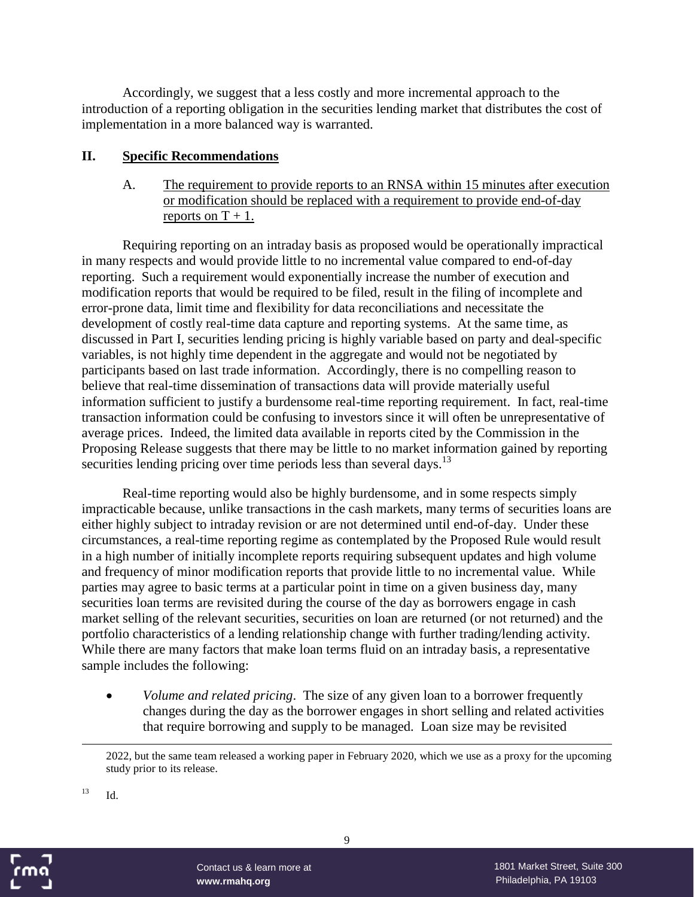Accordingly, we suggest that a less costly and more incremental approach to the introduction of a reporting obligation in the securities lending market that distributes the cost of implementation in a more balanced way is warranted.

#### **II. Specific Recommendations**

A. The requirement to provide reports to an RNSA within 15 minutes after execution or modification should be replaced with a requirement to provide end-of-day reports on  $T + 1$ .

Requiring reporting on an intraday basis as proposed would be operationally impractical in many respects and would provide little to no incremental value compared to end-of-day reporting. Such a requirement would exponentially increase the number of execution and modification reports that would be required to be filed, result in the filing of incomplete and error-prone data, limit time and flexibility for data reconciliations and necessitate the development of costly real-time data capture and reporting systems. At the same time, as discussed in Part I, securities lending pricing is highly variable based on party and deal-specific variables, is not highly time dependent in the aggregate and would not be negotiated by participants based on last trade information. Accordingly, there is no compelling reason to believe that real-time dissemination of transactions data will provide materially useful information sufficient to justify a burdensome real-time reporting requirement. In fact, real-time transaction information could be confusing to investors since it will often be unrepresentative of average prices. Indeed, the limited data available in reports cited by the Commission in the Proposing Release suggests that there may be little to no market information gained by reporting securities lending pricing over time periods less than several days.<sup>13</sup>

Real-time reporting would also be highly burdensome, and in some respects simply impracticable because, unlike transactions in the cash markets, many terms of securities loans are either highly subject to intraday revision or are not determined until end-of-day. Under these circumstances, a real-time reporting regime as contemplated by the Proposed Rule would result in a high number of initially incomplete reports requiring subsequent updates and high volume and frequency of minor modification reports that provide little to no incremental value. While parties may agree to basic terms at a particular point in time on a given business day, many securities loan terms are revisited during the course of the day as borrowers engage in cash market selling of the relevant securities, securities on loan are returned (or not returned) and the portfolio characteristics of a lending relationship change with further trading/lending activity. While there are many factors that make loan terms fluid on an intraday basis, a representative sample includes the following:

 *Volume and related pricing*. The size of any given loan to a borrower frequently changes during the day as the borrower engages in short selling and related activities that require borrowing and supply to be managed. Loan size may be revisited

 $^{13}$  Id.



<sup>2022,</sup> but the same team released a working paper in February 2020, which we use as a proxy for the upcoming study prior to its release.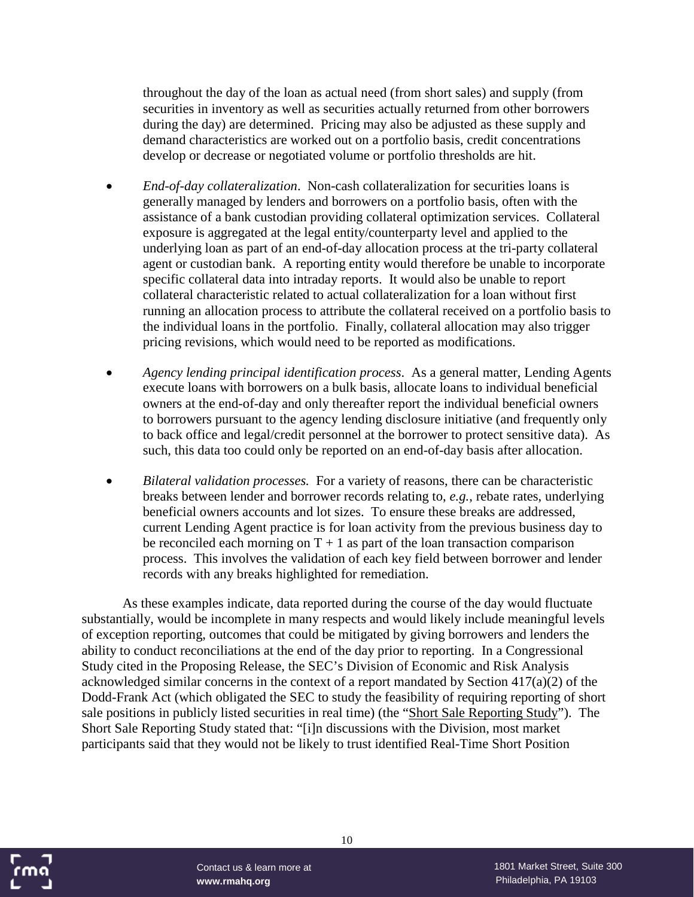throughout the day of the loan as actual need (from short sales) and supply (from securities in inventory as well as securities actually returned from other borrowers during the day) are determined. Pricing may also be adjusted as these supply and demand characteristics are worked out on a portfolio basis, credit concentrations develop or decrease or negotiated volume or portfolio thresholds are hit.

- *End-of-day collateralization*. Non-cash collateralization for securities loans is generally managed by lenders and borrowers on a portfolio basis, often with the assistance of a bank custodian providing collateral optimization services. Collateral exposure is aggregated at the legal entity/counterparty level and applied to the underlying loan as part of an end-of-day allocation process at the tri-party collateral agent or custodian bank. A reporting entity would therefore be unable to incorporate specific collateral data into intraday reports. It would also be unable to report collateral characteristic related to actual collateralization for a loan without first running an allocation process to attribute the collateral received on a portfolio basis to the individual loans in the portfolio. Finally, collateral allocation may also trigger pricing revisions, which would need to be reported as modifications.
- *Agency lending principal identification process*. As a general matter, Lending Agents execute loans with borrowers on a bulk basis, allocate loans to individual beneficial owners at the end-of-day and only thereafter report the individual beneficial owners to borrowers pursuant to the agency lending disclosure initiative (and frequently only to back office and legal/credit personnel at the borrower to protect sensitive data). As such, this data too could only be reported on an end-of-day basis after allocation.
- *Bilateral validation processes.* For a variety of reasons, there can be characteristic breaks between lender and borrower records relating to, *e.g.*, rebate rates, underlying beneficial owners accounts and lot sizes. To ensure these breaks are addressed, current Lending Agent practice is for loan activity from the previous business day to be reconciled each morning on  $T + 1$  as part of the loan transaction comparison process. This involves the validation of each key field between borrower and lender records with any breaks highlighted for remediation.

As these examples indicate, data reported during the course of the day would fluctuate substantially, would be incomplete in many respects and would likely include meaningful levels of exception reporting, outcomes that could be mitigated by giving borrowers and lenders the ability to conduct reconciliations at the end of the day prior to reporting. In a Congressional Study cited in the Proposing Release, the SEC's Division of Economic and Risk Analysis acknowledged similar concerns in the context of a report mandated by Section 417(a)(2) of the Dodd-Frank Act (which obligated the SEC to study the feasibility of requiring reporting of short sale positions in publicly listed securities in real time) (the "Short Sale Reporting Study"). The Short Sale Reporting Study stated that: "[i]n discussions with the Division, most market participants said that they would not be likely to trust identified Real-Time Short Position



10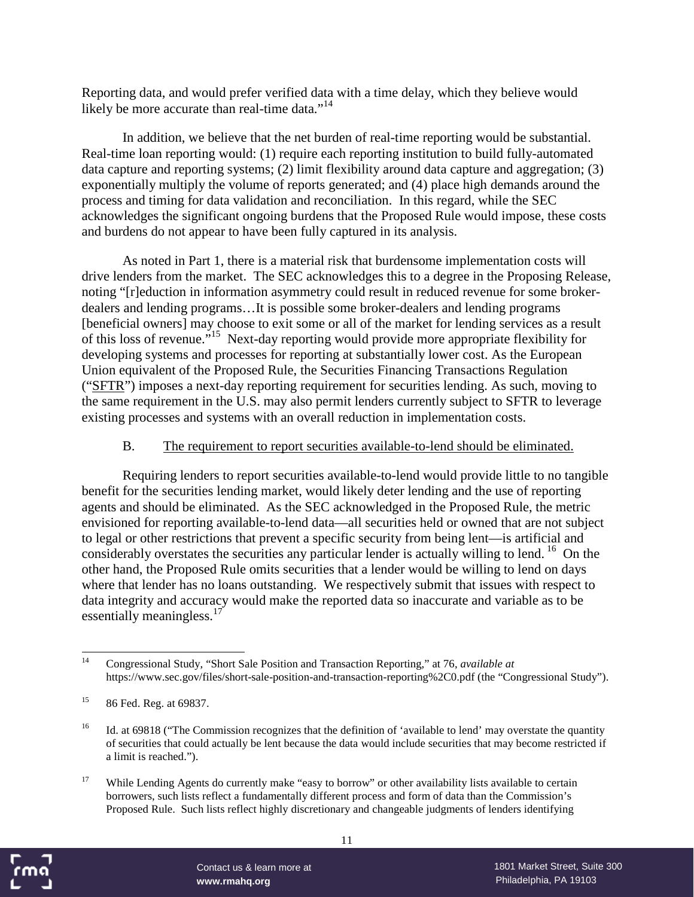Reporting data, and would prefer verified data with a time delay, which they believe would likely be more accurate than real-time data."<sup>14</sup>

In addition, we believe that the net burden of real-time reporting would be substantial. Real-time loan reporting would: (1) require each reporting institution to build fully-automated data capture and reporting systems; (2) limit flexibility around data capture and aggregation; (3) exponentially multiply the volume of reports generated; and (4) place high demands around the process and timing for data validation and reconciliation. In this regard, while the SEC acknowledges the significant ongoing burdens that the Proposed Rule would impose, these costs and burdens do not appear to have been fully captured in its analysis.

As noted in Part 1, there is a material risk that burdensome implementation costs will drive lenders from the market. The SEC acknowledges this to a degree in the Proposing Release, noting "[r]eduction in information asymmetry could result in reduced revenue for some brokerdealers and lending programs…It is possible some broker-dealers and lending programs [beneficial owners] may choose to exit some or all of the market for lending services as a result of this loss of revenue."<sup>15</sup> Next-day reporting would provide more appropriate flexibility for developing systems and processes for reporting at substantially lower cost. As the European Union equivalent of the Proposed Rule, the Securities Financing Transactions Regulation ("SFTR") imposes a next-day reporting requirement for securities lending. As such, moving to the same requirement in the U.S. may also permit lenders currently subject to SFTR to leverage existing processes and systems with an overall reduction in implementation costs.

#### B. The requirement to report securities available-to-lend should be eliminated.

Requiring lenders to report securities available-to-lend would provide little to no tangible benefit for the securities lending market, would likely deter lending and the use of reporting agents and should be eliminated. As the SEC acknowledged in the Proposed Rule, the metric envisioned for reporting available-to-lend data—all securities held or owned that are not subject to legal or other restrictions that prevent a specific security from being lent—is artificial and considerably overstates the securities any particular lender is actually willing to lend. <sup>16</sup> On the other hand, the Proposed Rule omits securities that a lender would be willing to lend on days where that lender has no loans outstanding. We respectively submit that issues with respect to data integrity and accuracy would make the reported data so inaccurate and variable as to be essentially meaningless.<sup>17</sup>

<sup>&</sup>lt;sup>17</sup> While Lending Agents do currently make "easy to borrow" or other availability lists available to certain borrowers, such lists reflect a fundamentally different process and form of data than the Commission's Proposed Rule. Such lists reflect highly discretionary and changeable judgments of lenders identifying



<sup>14</sup> Congressional Study, "Short Sale Position and Transaction Reporting," at 76, *available at* https://www.sec.gov/files/short-sale-position-and-transaction-reporting%2C0.pdf (the "Congressional Study").

<sup>15</sup> 86 Fed. Reg. at 69837.

<sup>&</sup>lt;sup>16</sup> Id. at 69818 ("The Commission recognizes that the definition of 'available to lend' may overstate the quantity of securities that could actually be lent because the data would include securities that may become restricted if a limit is reached.").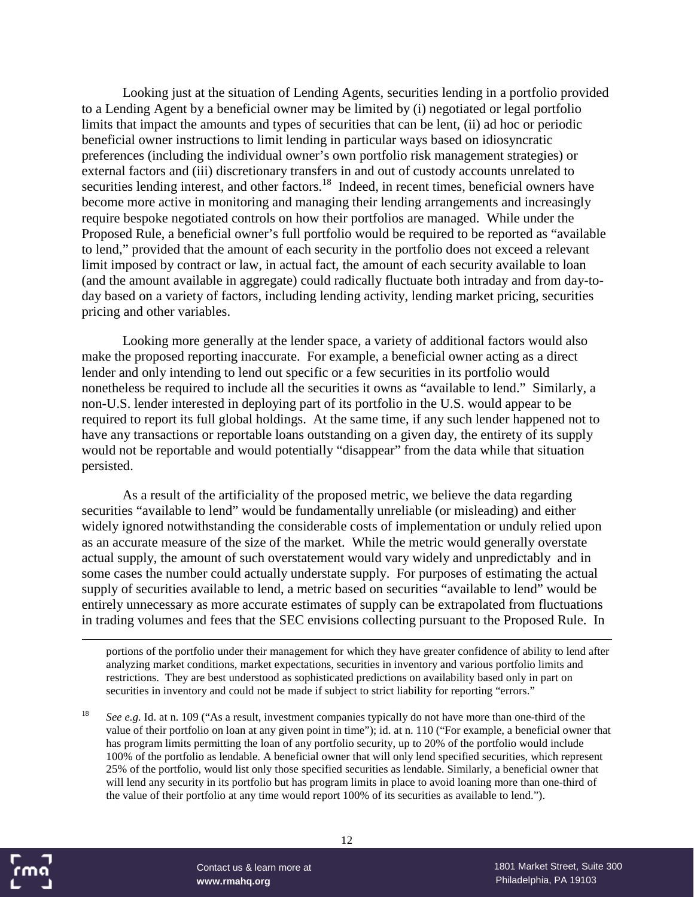Looking just at the situation of Lending Agents, securities lending in a portfolio provided to a Lending Agent by a beneficial owner may be limited by (i) negotiated or legal portfolio limits that impact the amounts and types of securities that can be lent, (ii) ad hoc or periodic beneficial owner instructions to limit lending in particular ways based on idiosyncratic preferences (including the individual owner's own portfolio risk management strategies) or external factors and (iii) discretionary transfers in and out of custody accounts unrelated to securities lending interest, and other factors.<sup>18</sup> Indeed, in recent times, beneficial owners have become more active in monitoring and managing their lending arrangements and increasingly require bespoke negotiated controls on how their portfolios are managed. While under the Proposed Rule, a beneficial owner's full portfolio would be required to be reported as "available to lend," provided that the amount of each security in the portfolio does not exceed a relevant limit imposed by contract or law, in actual fact, the amount of each security available to loan (and the amount available in aggregate) could radically fluctuate both intraday and from day-today based on a variety of factors, including lending activity, lending market pricing, securities pricing and other variables.

Looking more generally at the lender space, a variety of additional factors would also make the proposed reporting inaccurate. For example, a beneficial owner acting as a direct lender and only intending to lend out specific or a few securities in its portfolio would nonetheless be required to include all the securities it owns as "available to lend." Similarly, a non-U.S. lender interested in deploying part of its portfolio in the U.S. would appear to be required to report its full global holdings. At the same time, if any such lender happened not to have any transactions or reportable loans outstanding on a given day, the entirety of its supply would not be reportable and would potentially "disappear" from the data while that situation persisted.

As a result of the artificiality of the proposed metric, we believe the data regarding securities "available to lend" would be fundamentally unreliable (or misleading) and either widely ignored notwithstanding the considerable costs of implementation or unduly relied upon as an accurate measure of the size of the market. While the metric would generally overstate actual supply, the amount of such overstatement would vary widely and unpredictably and in some cases the number could actually understate supply. For purposes of estimating the actual supply of securities available to lend, a metric based on securities "available to lend" would be entirely unnecessary as more accurate estimates of supply can be extrapolated from fluctuations in trading volumes and fees that the SEC envisions collecting pursuant to the Proposed Rule. In

portions of the portfolio under their management for which they have greater confidence of ability to lend after analyzing market conditions, market expectations, securities in inventory and various portfolio limits and restrictions. They are best understood as sophisticated predictions on availability based only in part on securities in inventory and could not be made if subject to strict liability for reporting "errors."

<sup>18</sup> *See e.g.* Id. at n. 109 ("As a result, investment companies typically do not have more than one-third of the value of their portfolio on loan at any given point in time"); id. at n. 110 ("For example, a beneficial owner that has program limits permitting the loan of any portfolio security, up to 20% of the portfolio would include 100% of the portfolio as lendable. A beneficial owner that will only lend specified securities, which represent 25% of the portfolio, would list only those specified securities as lendable. Similarly, a beneficial owner that will lend any security in its portfolio but has program limits in place to avoid loaning more than one-third of the value of their portfolio at any time would report 100% of its securities as available to lend.").

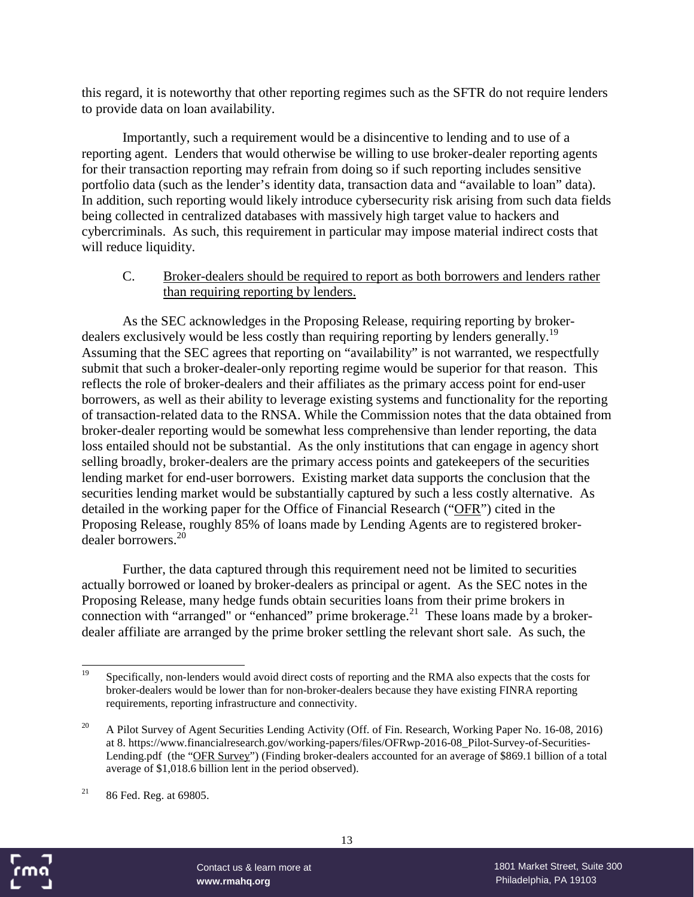this regard, it is noteworthy that other reporting regimes such as the SFTR do not require lenders to provide data on loan availability.

Importantly, such a requirement would be a disincentive to lending and to use of a reporting agent. Lenders that would otherwise be willing to use broker-dealer reporting agents for their transaction reporting may refrain from doing so if such reporting includes sensitive portfolio data (such as the lender's identity data, transaction data and "available to loan" data). In addition, such reporting would likely introduce cybersecurity risk arising from such data fields being collected in centralized databases with massively high target value to hackers and cybercriminals. As such, this requirement in particular may impose material indirect costs that will reduce liquidity.

#### C. Broker-dealers should be required to report as both borrowers and lenders rather than requiring reporting by lenders.

As the SEC acknowledges in the Proposing Release, requiring reporting by brokerdealers exclusively would be less costly than requiring reporting by lenders generally.<sup>19</sup> Assuming that the SEC agrees that reporting on "availability" is not warranted, we respectfully submit that such a broker-dealer-only reporting regime would be superior for that reason. This reflects the role of broker-dealers and their affiliates as the primary access point for end-user borrowers, as well as their ability to leverage existing systems and functionality for the reporting of transaction-related data to the RNSA. While the Commission notes that the data obtained from broker-dealer reporting would be somewhat less comprehensive than lender reporting, the data loss entailed should not be substantial. As the only institutions that can engage in agency short selling broadly, broker-dealers are the primary access points and gatekeepers of the securities lending market for end-user borrowers. Existing market data supports the conclusion that the securities lending market would be substantially captured by such a less costly alternative. As detailed in the working paper for the Office of Financial Research ("OFR") cited in the Proposing Release, roughly 85% of loans made by Lending Agents are to registered brokerdealer borrowers.<sup>20</sup>

Further, the data captured through this requirement need not be limited to securities actually borrowed or loaned by broker-dealers as principal or agent. As the SEC notes in the Proposing Release, many hedge funds obtain securities loans from their prime brokers in connection with "arranged" or "enhanced" prime brokerage.<sup>21</sup> These loans made by a brokerdealer affiliate are arranged by the prime broker settling the relevant short sale. As such, the



<sup>&</sup>lt;sup>19</sup> Specifically, non-lenders would avoid direct costs of reporting and the RMA also expects that the costs for broker-dealers would be lower than for non-broker-dealers because they have existing FINRA reporting requirements, reporting infrastructure and connectivity.

<sup>&</sup>lt;sup>20</sup> A Pilot Survey of Agent Securities Lending Activity (Off. of Fin. Research, Working Paper No. 16-08, 2016) at 8. https://www.financialresearch.gov/working-papers/files/OFRwp-2016-08\_Pilot-Survey-of-Securities-Lending.pdf (the "OFR Survey") (Finding broker-dealers accounted for an average of \$869.1 billion of a total average of \$1,018.6 billion lent in the period observed).

 $21$  86 Fed. Reg. at 69805.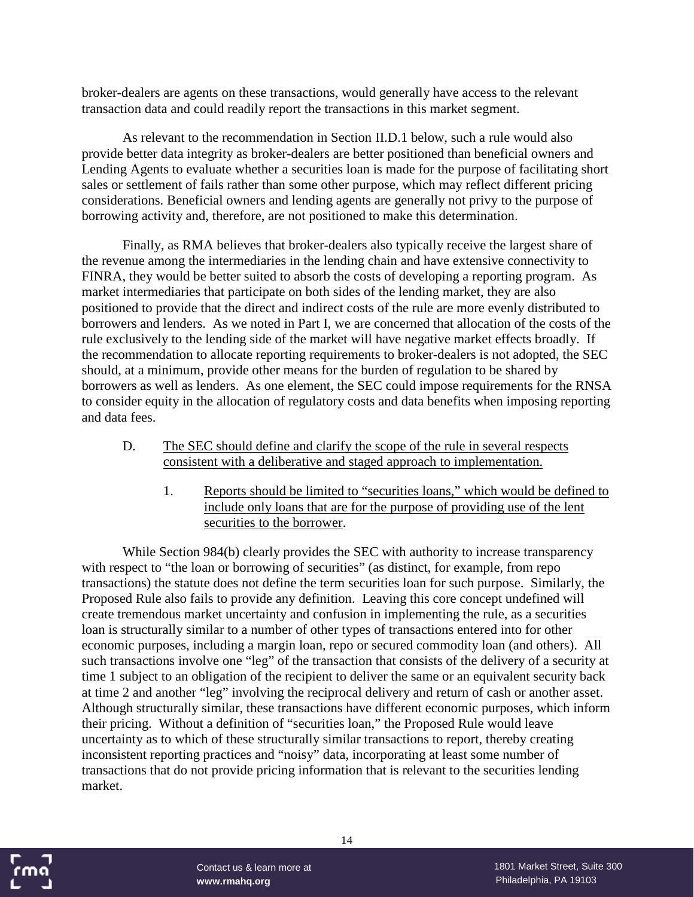broker-dealers are agents on these transactions, would generally have access to the relevant transaction data and could readily report the transactions in this market segment.

As relevant to the recommendation in Section II.D.1 below, such a rule would also provide better data integrity as broker-dealers are better positioned than beneficial owners and Lending Agents to evaluate whether a securities loan is made for the purpose of facilitating short sales or settlement of fails rather than some other purpose, which may reflect different pricing considerations. Beneficial owners and lending agents are generally not privy to the purpose of borrowing activity and, therefore, are not positioned to make this determination.

Finally, as RMA believes that broker-dealers also typically receive the largest share of the revenue among the intermediaries in the lending chain and have extensive connectivity to FINRA, they would be better suited to absorb the costs of developing a reporting program. As market intermediaries that participate on both sides of the lending market, they are also positioned to provide that the direct and indirect costs of the rule are more evenly distributed to borrowers and lenders. As we noted in Part I, we are concerned that allocation of the costs of the rule exclusively to the lending side of the market will have negative market effects broadly. If the recommendation to allocate reporting requirements to broker-dealers is not adopted, the SEC should, at a minimum, provide other means for the burden of regulation to be shared by borrowers as well as lenders. As one element, the SEC could impose requirements for the RNSA to consider equity in the allocation of regulatory costs and data benefits when imposing reporting and data fees.

- D. The SEC should define and clarify the scope of the rule in several respects consistent with a deliberative and staged approach to implementation.
	- 1. Reports should be limited to "securities loans," which would be defined to include only loans that are for the purpose of providing use of the lent securities to the borrower.

While Section 984(b) clearly provides the SEC with authority to increase transparency with respect to "the loan or borrowing of securities" (as distinct, for example, from repo transactions) the statute does not define the term securities loan for such purpose. Similarly, the Proposed Rule also fails to provide any definition. Leaving this core concept undefined will create tremendous market uncertainty and confusion in implementing the rule, as a securities loan is structurally similar to a number of other types of transactions entered into for other economic purposes, including a margin loan, repo or secured commodity loan (and others). All such transactions involve one "leg" of the transaction that consists of the delivery of a security at time 1 subject to an obligation of the recipient to deliver the same or an equivalent security back at time 2 and another "leg" involving the reciprocal delivery and return of cash or another asset. Although structurally similar, these transactions have different economic purposes, which inform their pricing. Without a definition of "securities loan," the Proposed Rule would leave uncertainty as to which of these structurally similar transactions to report, thereby creating inconsistent reporting practices and "noisy" data, incorporating at least some number of transactions that do not provide pricing information that is relevant to the securities lending market.

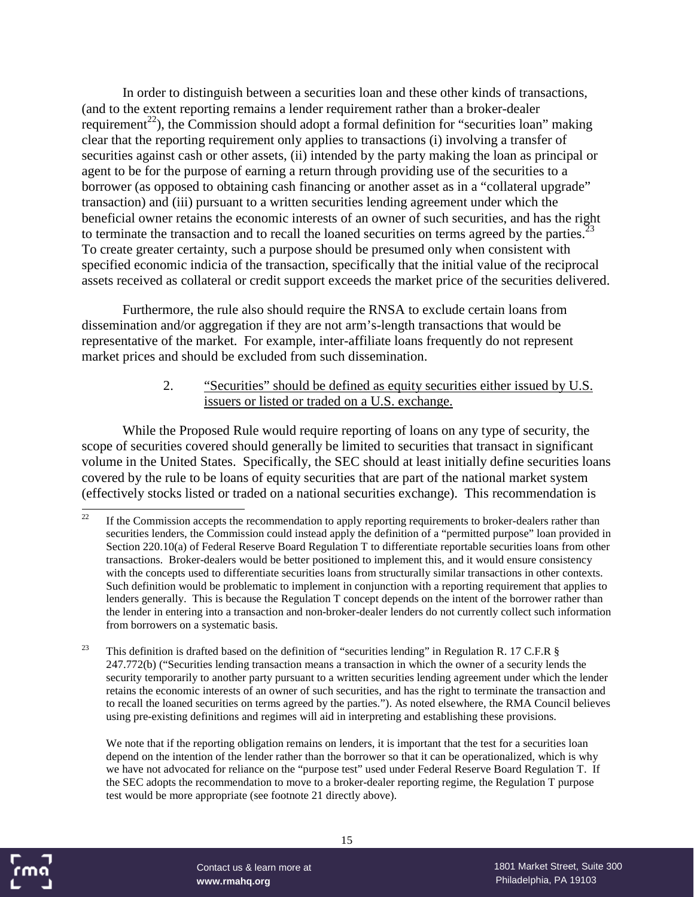In order to distinguish between a securities loan and these other kinds of transactions, (and to the extent reporting remains a lender requirement rather than a broker-dealer requirement<sup>22</sup>), the Commission should adopt a formal definition for "securities loan" making clear that the reporting requirement only applies to transactions (i) involving a transfer of securities against cash or other assets, (ii) intended by the party making the loan as principal or agent to be for the purpose of earning a return through providing use of the securities to a borrower (as opposed to obtaining cash financing or another asset as in a "collateral upgrade" transaction) and (iii) pursuant to a written securities lending agreement under which the beneficial owner retains the economic interests of an owner of such securities, and has the right to terminate the transaction and to recall the loaned securities on terms agreed by the parties.<sup>23</sup> To create greater certainty, such a purpose should be presumed only when consistent with specified economic indicia of the transaction, specifically that the initial value of the reciprocal assets received as collateral or credit support exceeds the market price of the securities delivered.

Furthermore, the rule also should require the RNSA to exclude certain loans from dissemination and/or aggregation if they are not arm's-length transactions that would be representative of the market. For example, inter-affiliate loans frequently do not represent market prices and should be excluded from such dissemination.

#### 2. "Securities" should be defined as equity securities either issued by U.S. issuers or listed or traded on a U.S. exchange.

While the Proposed Rule would require reporting of loans on any type of security, the scope of securities covered should generally be limited to securities that transact in significant volume in the United States. Specifically, the SEC should at least initially define securities loans covered by the rule to be loans of equity securities that are part of the national market system (effectively stocks listed or traded on a national securities exchange). This recommendation is

We note that if the reporting obligation remains on lenders, it is important that the test for a securities loan depend on the intention of the lender rather than the borrower so that it can be operationalized, which is why we have not advocated for reliance on the "purpose test" used under Federal Reserve Board Regulation T. If the SEC adopts the recommendation to move to a broker-dealer reporting regime, the Regulation T purpose test would be more appropriate (see footnote 21 directly above).



<sup>&</sup>lt;sup>22</sup> If the Commission accepts the recommendation to apply reporting requirements to broker-dealers rather than securities lenders, the Commission could instead apply the definition of a "permitted purpose" loan provided in Section 220.10(a) of Federal Reserve Board Regulation T to differentiate reportable securities loans from other transactions. Broker-dealers would be better positioned to implement this, and it would ensure consistency with the concepts used to differentiate securities loans from structurally similar transactions in other contexts. Such definition would be problematic to implement in conjunction with a reporting requirement that applies to lenders generally. This is because the Regulation T concept depends on the intent of the borrower rather than the lender in entering into a transaction and non-broker-dealer lenders do not currently collect such information from borrowers on a systematic basis.

<sup>&</sup>lt;sup>23</sup> This definition is drafted based on the definition of "securities lending" in Regulation R. 17 C.F.R  $\S$ 247.772(b) ("Securities lending transaction means a transaction in which the owner of a security lends the security temporarily to another party pursuant to a written securities lending agreement under which the lender retains the economic interests of an owner of such securities, and has the right to terminate the transaction and to recall the loaned securities on terms agreed by the parties."). As noted elsewhere, the RMA Council believes using pre-existing definitions and regimes will aid in interpreting and establishing these provisions.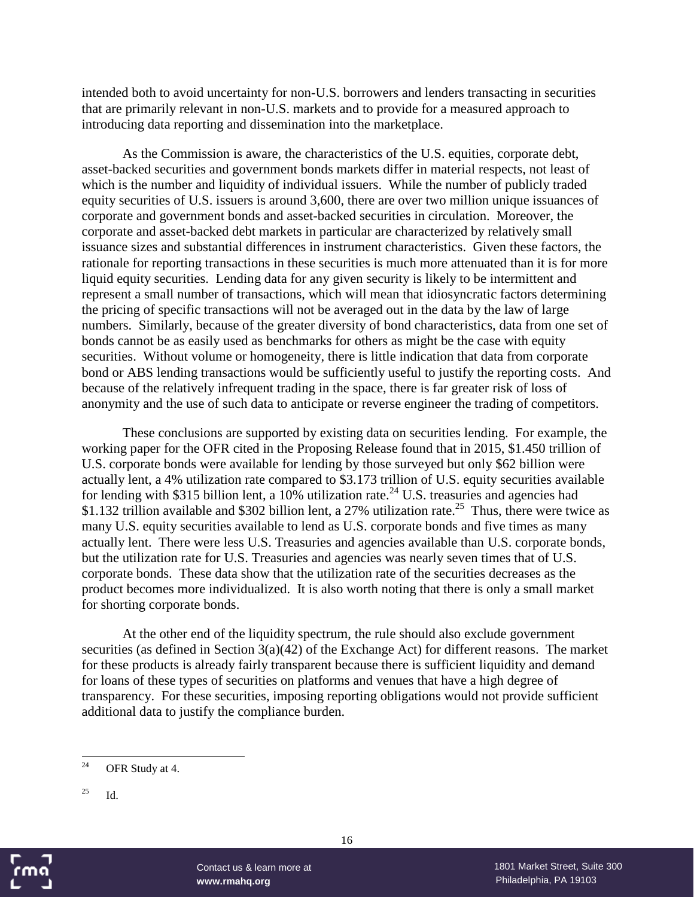intended both to avoid uncertainty for non-U.S. borrowers and lenders transacting in securities that are primarily relevant in non-U.S. markets and to provide for a measured approach to introducing data reporting and dissemination into the marketplace.

As the Commission is aware, the characteristics of the U.S. equities, corporate debt, asset-backed securities and government bonds markets differ in material respects, not least of which is the number and liquidity of individual issuers. While the number of publicly traded equity securities of U.S. issuers is around 3,600, there are over two million unique issuances of corporate and government bonds and asset-backed securities in circulation. Moreover, the corporate and asset-backed debt markets in particular are characterized by relatively small issuance sizes and substantial differences in instrument characteristics. Given these factors, the rationale for reporting transactions in these securities is much more attenuated than it is for more liquid equity securities. Lending data for any given security is likely to be intermittent and represent a small number of transactions, which will mean that idiosyncratic factors determining the pricing of specific transactions will not be averaged out in the data by the law of large numbers. Similarly, because of the greater diversity of bond characteristics, data from one set of bonds cannot be as easily used as benchmarks for others as might be the case with equity securities. Without volume or homogeneity, there is little indication that data from corporate bond or ABS lending transactions would be sufficiently useful to justify the reporting costs. And because of the relatively infrequent trading in the space, there is far greater risk of loss of anonymity and the use of such data to anticipate or reverse engineer the trading of competitors.

These conclusions are supported by existing data on securities lending. For example, the working paper for the OFR cited in the Proposing Release found that in 2015, \$1.450 trillion of U.S. corporate bonds were available for lending by those surveyed but only \$62 billion were actually lent, a 4% utilization rate compared to \$3.173 trillion of U.S. equity securities available for lending with \$315 billion lent, a 10% utilization rate.<sup>24</sup> U.S. treasuries and agencies had \$1.132 trillion available and \$302 billion lent, a 27% utilization rate.<sup>25</sup> Thus, there were twice as many U.S. equity securities available to lend as U.S. corporate bonds and five times as many actually lent. There were less U.S. Treasuries and agencies available than U.S. corporate bonds, but the utilization rate for U.S. Treasuries and agencies was nearly seven times that of U.S. corporate bonds. These data show that the utilization rate of the securities decreases as the product becomes more individualized. It is also worth noting that there is only a small market for shorting corporate bonds.

At the other end of the liquidity spectrum, the rule should also exclude government securities (as defined in Section 3(a)(42) of the Exchange Act) for different reasons. The market for these products is already fairly transparent because there is sufficient liquidity and demand for loans of these types of securities on platforms and venues that have a high degree of transparency. For these securities, imposing reporting obligations would not provide sufficient additional data to justify the compliance burden.

 $^{25}$  Id.



<sup>&</sup>lt;sup>24</sup> OFR Study at 4.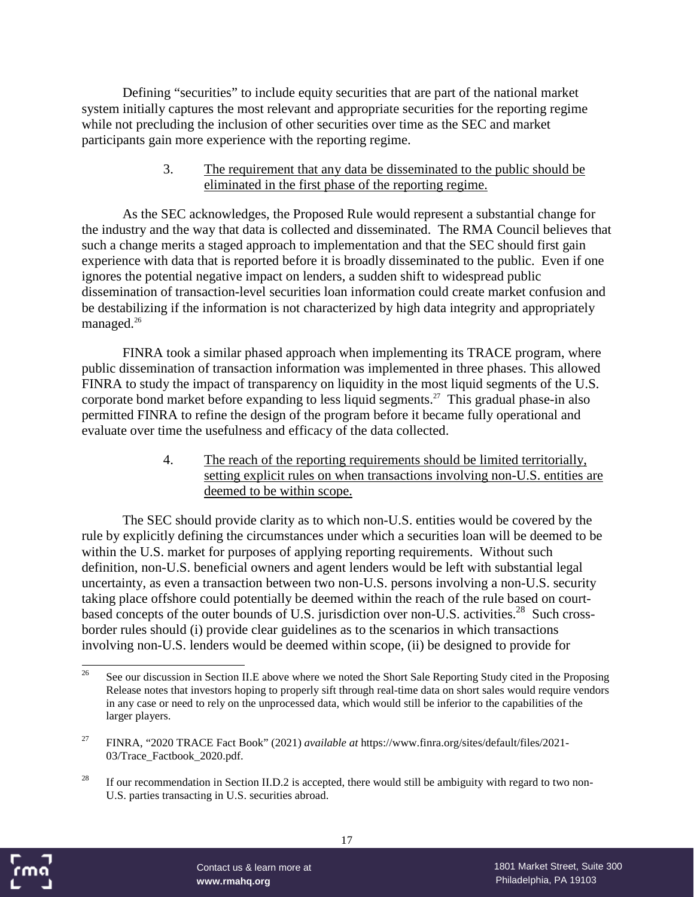Defining "securities" to include equity securities that are part of the national market system initially captures the most relevant and appropriate securities for the reporting regime while not precluding the inclusion of other securities over time as the SEC and market participants gain more experience with the reporting regime.

> 3. The requirement that any data be disseminated to the public should be eliminated in the first phase of the reporting regime.

As the SEC acknowledges, the Proposed Rule would represent a substantial change for the industry and the way that data is collected and disseminated. The RMA Council believes that such a change merits a staged approach to implementation and that the SEC should first gain experience with data that is reported before it is broadly disseminated to the public. Even if one ignores the potential negative impact on lenders, a sudden shift to widespread public dissemination of transaction-level securities loan information could create market confusion and be destabilizing if the information is not characterized by high data integrity and appropriately managed.<sup>26</sup>

FINRA took a similar phased approach when implementing its TRACE program, where public dissemination of transaction information was implemented in three phases. This allowed FINRA to study the impact of transparency on liquidity in the most liquid segments of the U.S. corporate bond market before expanding to less liquid segments.<sup>27</sup> This gradual phase-in also permitted FINRA to refine the design of the program before it became fully operational and evaluate over time the usefulness and efficacy of the data collected.

> 4. The reach of the reporting requirements should be limited territorially, setting explicit rules on when transactions involving non-U.S. entities are deemed to be within scope.

The SEC should provide clarity as to which non-U.S. entities would be covered by the rule by explicitly defining the circumstances under which a securities loan will be deemed to be within the U.S. market for purposes of applying reporting requirements. Without such definition, non-U.S. beneficial owners and agent lenders would be left with substantial legal uncertainty, as even a transaction between two non-U.S. persons involving a non-U.S. security taking place offshore could potentially be deemed within the reach of the rule based on courtbased concepts of the outer bounds of U.S. jurisdiction over non-U.S. activities.<sup>28</sup> Such crossborder rules should (i) provide clear guidelines as to the scenarios in which transactions involving non-U.S. lenders would be deemed within scope, (ii) be designed to provide for



<sup>&</sup>lt;sup>26</sup> See our discussion in Section II.E above where we noted the Short Sale Reporting Study cited in the Proposing Release notes that investors hoping to properly sift through real-time data on short sales would require vendors in any case or need to rely on the unprocessed data, which would still be inferior to the capabilities of the larger players.

<sup>27</sup> FINRA, "2020 TRACE Fact Book" (2021) *available at* https://www.finra.org/sites/default/files/2021- 03/Trace\_Factbook\_2020.pdf.

<sup>&</sup>lt;sup>28</sup> If our recommendation in Section II.D.2 is accepted, there would still be ambiguity with regard to two non-U.S. parties transacting in U.S. securities abroad.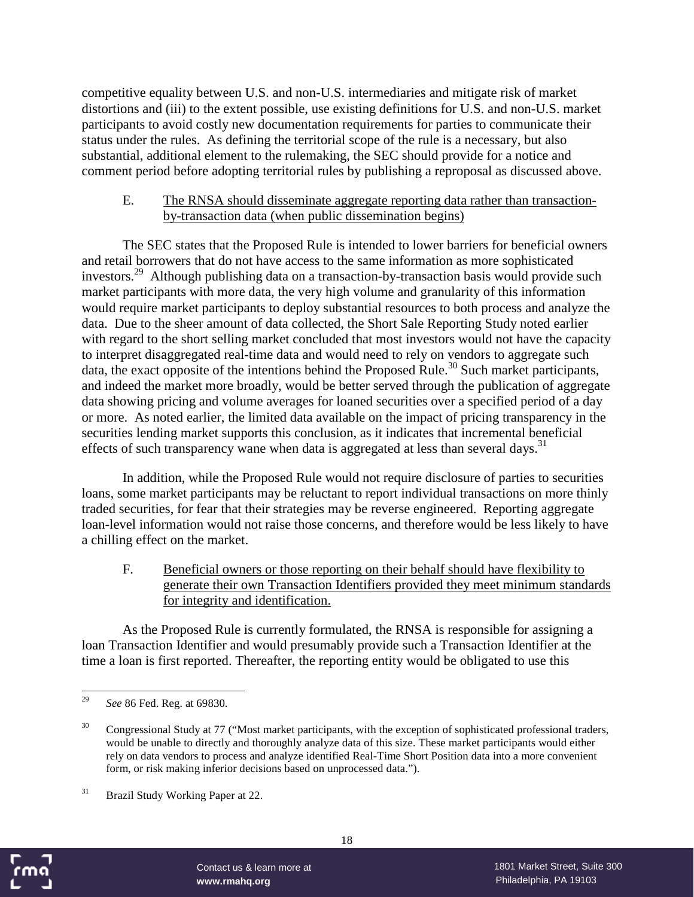competitive equality between U.S. and non-U.S. intermediaries and mitigate risk of market distortions and (iii) to the extent possible, use existing definitions for U.S. and non-U.S. market participants to avoid costly new documentation requirements for parties to communicate their status under the rules. As defining the territorial scope of the rule is a necessary, but also substantial, additional element to the rulemaking, the SEC should provide for a notice and comment period before adopting territorial rules by publishing a reproposal as discussed above.

#### E. The RNSA should disseminate aggregate reporting data rather than transactionby-transaction data (when public dissemination begins)

The SEC states that the Proposed Rule is intended to lower barriers for beneficial owners and retail borrowers that do not have access to the same information as more sophisticated investors.<sup>29</sup> Although publishing data on a transaction-by-transaction basis would provide such market participants with more data, the very high volume and granularity of this information would require market participants to deploy substantial resources to both process and analyze the data. Due to the sheer amount of data collected, the Short Sale Reporting Study noted earlier with regard to the short selling market concluded that most investors would not have the capacity to interpret disaggregated real-time data and would need to rely on vendors to aggregate such data, the exact opposite of the intentions behind the Proposed Rule.<sup>30</sup> Such market participants, and indeed the market more broadly, would be better served through the publication of aggregate data showing pricing and volume averages for loaned securities over a specified period of a day or more. As noted earlier, the limited data available on the impact of pricing transparency in the securities lending market supports this conclusion, as it indicates that incremental beneficial effects of such transparency wane when data is aggregated at less than several days.<sup>31</sup>

In addition, while the Proposed Rule would not require disclosure of parties to securities loans, some market participants may be reluctant to report individual transactions on more thinly traded securities, for fear that their strategies may be reverse engineered. Reporting aggregate loan-level information would not raise those concerns, and therefore would be less likely to have a chilling effect on the market.

F. Beneficial owners or those reporting on their behalf should have flexibility to generate their own Transaction Identifiers provided they meet minimum standards for integrity and identification.

As the Proposed Rule is currently formulated, the RNSA is responsible for assigning a loan Transaction Identifier and would presumably provide such a Transaction Identifier at the time a loan is first reported. Thereafter, the reporting entity would be obligated to use this



<sup>29</sup> *See* 86 Fed. Reg. at 69830.

<sup>&</sup>lt;sup>30</sup> Congressional Study at 77 ("Most market participants, with the exception of sophisticated professional traders, would be unable to directly and thoroughly analyze data of this size. These market participants would either rely on data vendors to process and analyze identified Real-Time Short Position data into a more convenient form, or risk making inferior decisions based on unprocessed data.").

<sup>&</sup>lt;sup>31</sup> Brazil Study Working Paper at 22.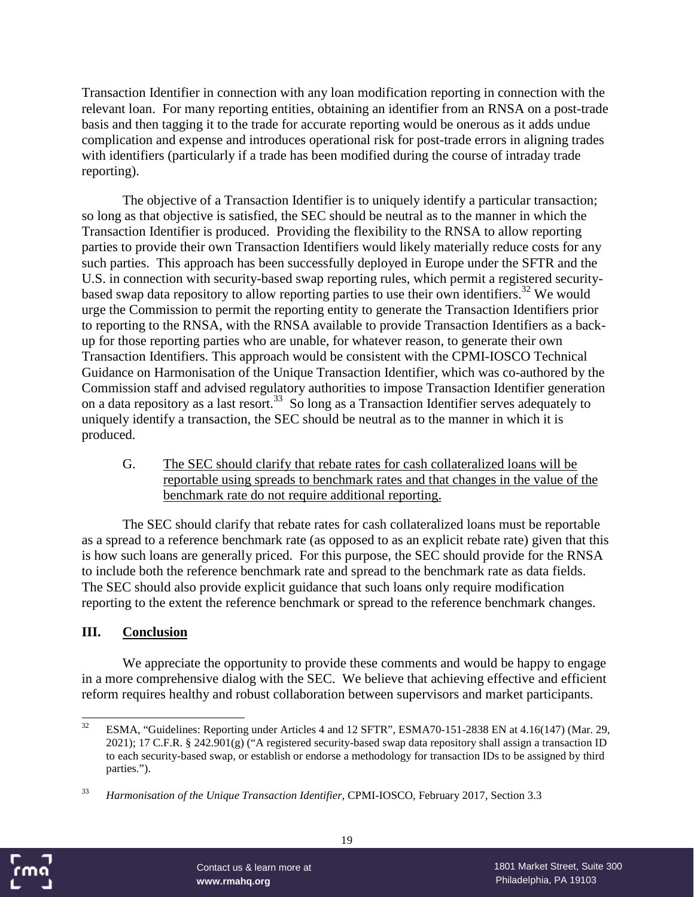Transaction Identifier in connection with any loan modification reporting in connection with the relevant loan. For many reporting entities, obtaining an identifier from an RNSA on a post-trade basis and then tagging it to the trade for accurate reporting would be onerous as it adds undue complication and expense and introduces operational risk for post-trade errors in aligning trades with identifiers (particularly if a trade has been modified during the course of intraday trade reporting).

The objective of a Transaction Identifier is to uniquely identify a particular transaction; so long as that objective is satisfied, the SEC should be neutral as to the manner in which the Transaction Identifier is produced. Providing the flexibility to the RNSA to allow reporting parties to provide their own Transaction Identifiers would likely materially reduce costs for any such parties. This approach has been successfully deployed in Europe under the SFTR and the U.S. in connection with security-based swap reporting rules, which permit a registered securitybased swap data repository to allow reporting parties to use their own identifiers.<sup>32</sup> We would urge the Commission to permit the reporting entity to generate the Transaction Identifiers prior to reporting to the RNSA, with the RNSA available to provide Transaction Identifiers as a backup for those reporting parties who are unable, for whatever reason, to generate their own Transaction Identifiers. This approach would be consistent with the CPMI-IOSCO Technical Guidance on Harmonisation of the Unique Transaction Identifier, which was co-authored by the Commission staff and advised regulatory authorities to impose Transaction Identifier generation on a data repository as a last resort.<sup>33</sup> So long as a Transaction Identifier serves adequately to uniquely identify a transaction, the SEC should be neutral as to the manner in which it is produced.

G. The SEC should clarify that rebate rates for cash collateralized loans will be reportable using spreads to benchmark rates and that changes in the value of the benchmark rate do not require additional reporting.

The SEC should clarify that rebate rates for cash collateralized loans must be reportable as a spread to a reference benchmark rate (as opposed to as an explicit rebate rate) given that this is how such loans are generally priced. For this purpose, the SEC should provide for the RNSA to include both the reference benchmark rate and spread to the benchmark rate as data fields. The SEC should also provide explicit guidance that such loans only require modification reporting to the extent the reference benchmark or spread to the reference benchmark changes.

#### **III. Conclusion**

We appreciate the opportunity to provide these comments and would be happy to engage in a more comprehensive dialog with the SEC. We believe that achieving effective and efficient reform requires healthy and robust collaboration between supervisors and market participants.



<sup>&</sup>lt;sup>32</sup> ESMA, "Guidelines: Reporting under Articles 4 and 12 SFTR", ESMA70-151-2838 EN at 4.16(147) (Mar. 29, 2021); 17 C.F.R. § 242.901(g) ("A registered security-based swap data repository shall assign a transaction ID to each security-based swap, or establish or endorse a methodology for transaction IDs to be assigned by third parties.").

<sup>33</sup> *Harmonisation of the Unique Transaction Identifier*, CPMI-IOSCO, February 2017, Section 3.3